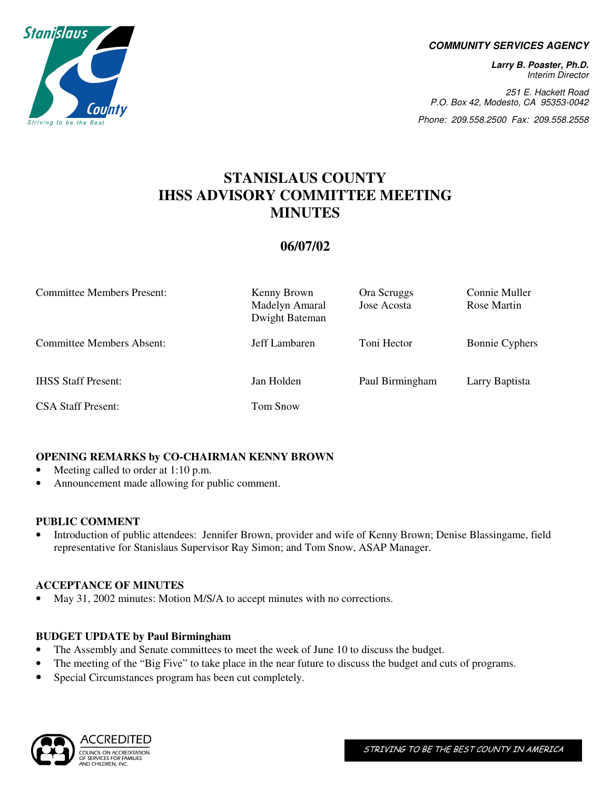

#### **COMMUNITY SERVICES AGENCY**

**Larry B. Poaster, Ph.D.**  Interim Director

251 E. Hackett Road P.O. Box 42, Modesto, CA 95353-0042

Phone: 209.558.2500 Fax: 209.558.2558

# **STANISLAUS COUNTY IHSS ADVISORY COMMITTEE MEETING MINUTES**

## **06/07/02**

| <b>Committee Members Present:</b> | Kenny Brown<br>Madelyn Amaral<br>Dwight Bateman | Ora Scruggs<br>Jose Acosta | Connie Muller<br>Rose Martin |
|-----------------------------------|-------------------------------------------------|----------------------------|------------------------------|
| Committee Members Absent:         | Jeff Lambaren                                   | Toni Hector                | <b>Bonnie Cyphers</b>        |
| <b>IHSS Staff Present:</b>        | Jan Holden                                      | Paul Birmingham            | Larry Baptista               |
| <b>CSA Staff Present:</b>         | Tom Snow                                        |                            |                              |

## **OPENING REMARKS by CO-CHAIRMAN KENNY BROWN**

- Meeting called to order at 1:10 p.m.
- Announcement made allowing for public comment.

#### **PUBLIC COMMENT**

• Introduction of public attendees: Jennifer Brown, provider and wife of Kenny Brown; Denise Blassingame, field representative for Stanislaus Supervisor Ray Simon; and Tom Snow, ASAP Manager.

#### **ACCEPTANCE OF MINUTES**

• May 31, 2002 minutes: Motion M/S/A to accept minutes with no corrections.

## **BUDGET UPDATE by Paul Birmingham**

- The Assembly and Senate committees to meet the week of June 10 to discuss the budget.
- The meeting of the "Big Five" to take place in the near future to discuss the budget and cuts of programs.
- Special Circumstances program has been cut completely.